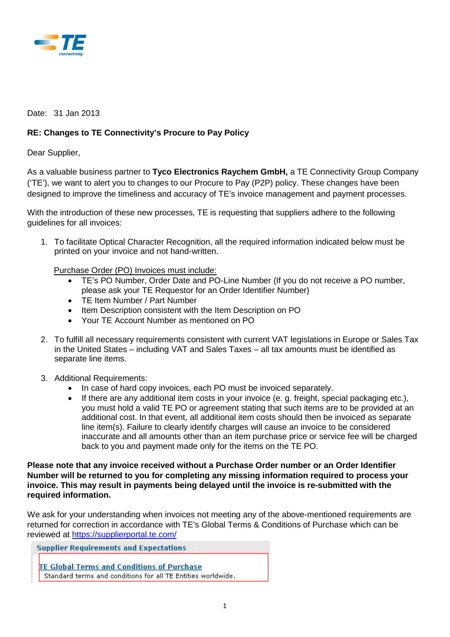

Date: 31 Jan 2013

## **RE: Changes to TE Connectivity's Procure to Pay Policy**

Dear Supplier,

As a valuable business partner to **Tyco Electronics Raychem GmbH,** a TE Connectivity Group Company ('TE'), we want to alert you to changes to our Procure to Pay (P2P) policy. These changes have been designed to improve the timeliness and accuracy of TE's invoice management and payment processes.

With the introduction of these new processes. TE is requesting that suppliers adhere to the following guidelines for all invoices:

1. To facilitate Optical Character Recognition, all the required information indicated below must be printed on your invoice and not hand-written.

Purchase Order (PO) Invoices must include:

- TE's PO Number, Order Date and PO-Line Number (If you do not receive a PO number, please ask your TE Requestor for an Order Identifier Number)
- TE Item Number / Part Number
- Item Description consistent with the Item Description on PO
- Your TE Account Number as mentioned on PO
- 2. To fulfill all necessary requirements consistent with current VAT legislations in Europe or Sales Tax in the United States – including VAT and Sales Taxes – all tax amounts must be identified as separate line items.
- 3. Additional Requirements:
	- In case of hard copy invoices, each PO must be invoiced separately.
	- If there are any additional item costs in your invoice (e. g. freight, special packaging etc.), you must hold a valid TE PO or agreement stating that such items are to be provided at an additional cost. In that event, all additional item costs should then be invoiced as separate line item(s). Failure to clearly identify charges will cause an invoice to be considered inaccurate and all amounts other than an item purchase price or service fee will be charged back to you and payment made only for the items on the TE PO.

**Please note that any invoice received without a Purchase Order number or an Order Identifier Number will be returned to you for completing any missing information required to process your invoice. This may result in payments being delayed until the invoice is re-submitted with the required information.** 

We ask for your understanding when invoices not meeting any of the above-mentioned requirements are returned for correction in accordance with TE's Global Terms & Conditions of Purchase which can be reviewed at<https://supplierportal.te.com/>

**Supplier Requirements and Expectations** 

**TE Global Terms and Conditions of Purchase** Standard terms and conditions for all TE Entities worldwide.